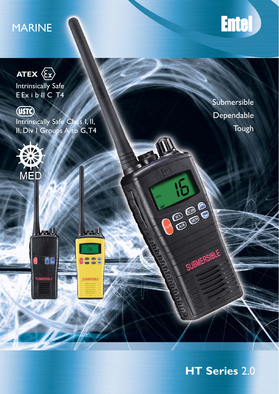# MARINE





Intrinsically Safe E Ex i b II C T4



Intrinsically Safe Class I, II, II, Div I Groups A to G, T4

**A** 

00

ြ

 $\blacksquare$ 

 $06$ 

**DDD** 

SUBMERSIBLE



**Submersible** Dependable Tough

旧

CAD GAD C

SUBMERSIBLE

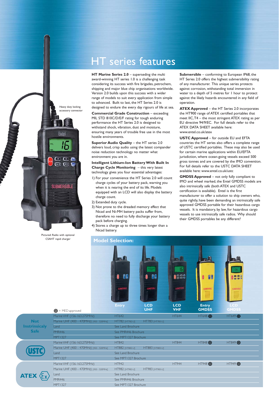

Pictured: Radio with optional CSAHT rapid charger

**Not Instrinsicaly Safe**

**ATEX <** 

## HT series features

**HT Marine Series 2.0** – superseding the multi award-winning HT series 1.0 is a challenging task considering its success with fire brigades, petrochem, shipping and major blue chip organisations worldwide. Version 2.0 builds upon this success with a wider range of models to suit every application from simple to advanced. Built to last, the HT Series 2.0 is designed to endure the every day rigours of life at sea.

**Commercial Grade Construction** – exceeding MIL STD 810C/D/E/F rating for tough enduring performance the HT Series 2.0 is designed to withstand shock, vibration, dust and moisture, ensuring many years of trouble free use in the most hostile environments.

**Superior Audio Quality** – the HT series 2.0 delivers loud, crisp audio using the latest compander noise reduction technology no matter what environment you are in.

**Intelligent Lithium-Ion Battery With Built In Charge Cycle Monitoring** – this very latest technology gives you four essential advantages:

- 1) For your convenience the HT Series 2.0 will count charge cycles of your battery pack, warning you when it is nearing the end of its life. Models equipped with an LCD will also display the battery charge count.
- 2) Extended duty cycle.
- 3) Not prone to the dreaded memory effect that Nicad and Ni-MH battery packs suffer from, therefore no need to fully discharge your battery pack before charging.
- 4) Stores a charge up to three times longer than a Nicad battery.

**Submersible** – conforming to European IP68, the HT Series 2.0 offers the highest submersibility rating of any manufacturer. This unique series protects against corrosion, withstanding total immersion in water to a depth of 5 metres for 1 hour to protect against the likely hazards encountered in any field of operation.

**ATEX Approved** – the HT Series 2.0 incorporates the HT900 range of ATEX certified portables that meet IIC, T4 – the most stringent ATEX rating as per EU directive 94/9/EC. For full details refer to the ATEX DATA SHEET available here: www.entel.co.uk/atex

**USTC Approved** – for outside EU and EFTA countries the HT series also offers a complete range of USTC certified portables. These may also be used for certain marine applications within EU/EFTA jurisdiction, where ocean-going vessels exceed 500 gross tonnes and are covered by the IMO convention. For full details refer to the USTC DATA SHEET available here: www.entel.co.uk/ustc

**GMDSS Approved** – not only fully compliant to IMO and wheel marked, the Entel GMDSS models are also intrinsically safe (both ATEX and USTC certification is available). Entel is the first manufacturer to offer a solution to ship owners who, quite rightly, have been demanding an intrinsically safe approved GMDSS portable for their hazardous cargo vessels. It is mandatory, by law, for hazardous cargo vessels to use intrinsically safe radios. Why should their GMDSS portables be any different?



MPT1327 Brochure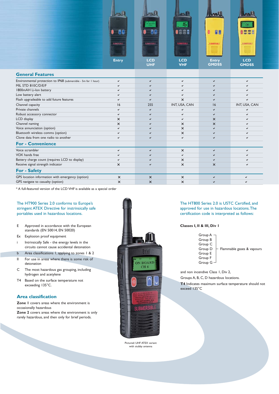

| <b>General Features</b>                                        |          |          |               |              |               |
|----------------------------------------------------------------|----------|----------|---------------|--------------|---------------|
| Environmental protection to IP68 (submersible - 5m for I hour) | ✓        | ✓        | ✔             | ✔            |               |
| MIL STD 810C/D/E/F                                             |          |          |               |              |               |
| 1800mAH Li-Ion battery                                         |          |          |               |              |               |
| Low battery alert                                              |          |          |               |              |               |
| Flash upgradeable to add future features                       |          |          | ×             |              |               |
| Channel capacity                                               | 16       | 255      | INT, USA, CAN | 16           | INT, USA, CAN |
| Private channels                                               |          |          |               | $\checkmark$ |               |
| Robust accessory connector                                     |          |          |               | ✓            |               |
| LCD display                                                    | ×        |          |               | $\times$     |               |
| Channel naming                                                 | ×        |          | $\times$      | $\times$     |               |
| Voice annunciation (option)                                    |          |          | ×             |              |               |
| Bluetooth wireless comms (option)                              |          |          | $\times$      |              |               |
| Clone data from one radio to another                           |          |          |               |              |               |
| <b>For - Convenience</b>                                       |          |          |               |              |               |
| Voice scrambler                                                |          | Μ        | $\times$      | ✓            |               |
| VOX hands free                                                 |          |          |               |              |               |
| Battery charge count (requires LCD to display)                 |          |          | $\times$      |              |               |
| Receive signal strength indicator                              | ×        |          | $\times$      | $\times$     |               |
| <b>For - Safety</b>                                            |          |          |               |              |               |
| GPS location information with emergency (option)               | $\times$ | $\times$ | $\times$      |              |               |
| GPS navigate to casualty (option)                              | ×        | $\times$ | $\times$      |              |               |

\* A full-featured version of the LCD VHF is available as a special order

The HT900 Series 2.0 conforms to Europe's stringent ATEX Directive for instrinsically safe portables used in hazardous locations.

- E Approved in accordance with the European standards (EN 50014, EN 50020)
- Ex Explosion proof equipment
- i Intrinsically Safe the energy levels in the circuits cannot cause accidental detonation
- b Area classifications 1, applying to zones 1 & 2 II For use in areas where there is some risk of
- detonation
- C The most hazardous gas grouping, including hydrogen and acetylene
- T4 Based on the surface temperature not exceeding 135°C.

### **Area classification**

**Zone 1** covers areas where the environment is occasionally hazardous **Zone 2** covers areas where the environment is only rarely hazardous, and then only for brief periods.



Pictured: UHF ATEX variant with stubby antenna

The HT800 Series 2.0 is USTC Certified, and approved for use in hazardous locations. The certification code is interpreted as follows:

### **Classes I, II & III, Div 1**

| Group $A -$ |                           |
|-------------|---------------------------|
| Group B     |                           |
| Group C     |                           |
| Group D     | Flammable gases & vapours |
| Group E     |                           |
| Group F     |                           |
| Group $G -$ |                           |

and non incendive Class 1, Div 2,

Groups A, B, C, D hazardous locations.

**T4** Indicates maximum surface temperature should not exceed 135°C